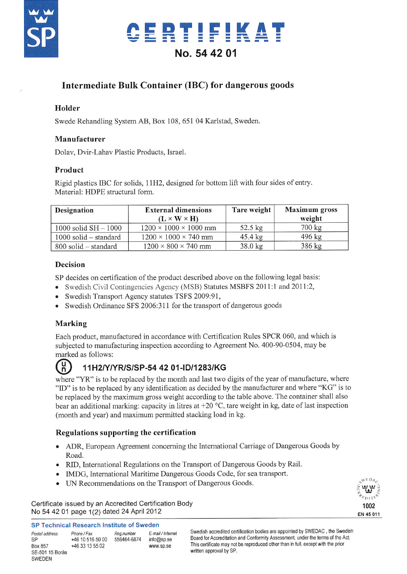

## CERTIFIKAT No. 54 42 01

### Intermediate Bulk Container (IBC) for dangerous goods

### Holder

Swede Rehandling System AB, Box 108, 651 04 Karlstad, Sweden.

### Manufacturer

Dolav, Dvir-Lahav Plastic Products, Israel.

### Product

Rigid plastics IBC for solids, 11H2, designed for bottom lift with four sides of entry. Material: HDPE structural form.

| Designation              | <b>External dimensions</b><br>$(L \times W \times H)$ | Tare weight       | <b>Maximum</b> gross<br>weight |
|--------------------------|-------------------------------------------------------|-------------------|--------------------------------|
| $1000$ solid $SH - 1000$ | $1200 \times 1000 \times 1000$ mm                     | $52.5 \text{ kg}$ | 700 kg                         |
| 1000 solid – standard    | $1200 \times 1000 \times 740$ mm                      | $45.4 \text{ kg}$ | 496 kg                         |
| 800 solid – standard     | $1200 \times 800 \times 740$ mm                       | $38.0$ kg         | 386 kg                         |

### **Decision**

SP decides on certification of the product described above on the following legal basis:

- Swedish Civil Contingencies Agency (MSB) Statures MSBFS 2011:1 and 2011:2,
- Swedish Transport Agency statutes TSFS 2009:91,
- Swedish Ordinance SFS 2006:311 for the transport of dangerous goods

### Marking

Each product, manufactured in accordance with Certification Rules SPCR 060, and which is subjected to manufacturing inspection according to Agreement No. 400-90-0504, may be marked as follows:



### 11H2/Y/YR/S/SP-54 42 01-ID/1283/KG

where "YR" is to be replaced by the month and last two digits of the year of manufacture, where "ID" is to be replaced by any identification as decided by the manufacturer and where "KG" is to be replaced by the maximum gross weight according to the table above. The container shall also bear an additional marking: capacity in litres at  $+20$  °C, tare weight in kg, date of last inspection (month and year) and maximum permitted stacking load in kg.

### Regulations supporting the certification

- ADR, European Agreement concerning the International Carriage of Dangerous Goods by Road.
- RID, International Regulations on the Transport of Dangerous Goods by Rail.
- IMDG, International Maritime Dangerous Goods Code, for sea transport.
- UN Recommendations on the Transport of Dangerous Goods.

Certificate issued by an Accredited Certification Body No 54 42 01 page 1(2) dated 24 April 2012



| Postal address<br>SP | Phone / Fax<br>+46 10 516 50 00 | Reg.number<br>556464-6874 | E-mail / Internet |
|----------------------|---------------------------------|---------------------------|-------------------|
|                      |                                 |                           | info@sp.se        |
| Box 857              | +46 33 13 55 02                 |                           | www.sp.se         |
| SE-501 15 Borås      |                                 |                           |                   |
| SWEDEN               |                                 |                           |                   |

Swedish accredited certification bodies are appointed by SWEDAC, the Swedish Board for Accreditation and Conformity Assessment, under the terms of the Act. This certificate may not be reproduced other than in full, except with the prior written approval by SP.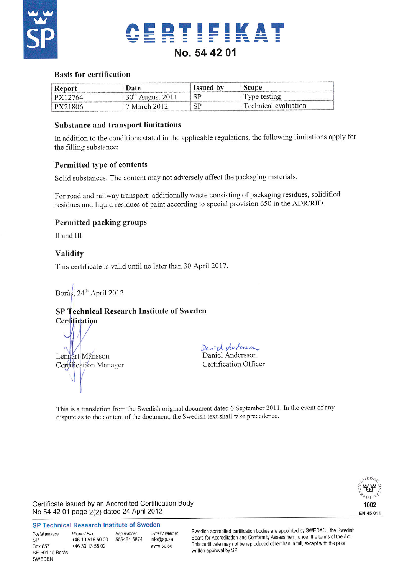



### **Basis for certification**

| Report  | Date                            | <b>Issued</b> by | Scope                |
|---------|---------------------------------|------------------|----------------------|
| PX12764 | 30 <sup>th</sup><br>August 2011 | -SP              | Type testing         |
| PX21806 | 7 March 2012 -                  | SP               | Technical evaluation |

### **Substance and transport limitations**

In addition to the conditions stated in the applicable regulations, the following limitations apply for the filling substance:

### Permitted type of contents

Solid substances. The content may not adversely affect the packaging materials.

For road and railway transport: additionally waste consisting of packaging residues, solidified residues and liquid residues of paint according to special provision 650 in the ADR/RID.

### **Permitted packing groups**

II and III

### Validity

This certificate is valid until no later than 30 April 2017.

Borås, 24<sup>th</sup> April 2012

### SP Technical Research Institute of Sweden Certification

Lennart Månsson Certification Manager

Daniel Andersen Daniel Andersson Certification Officer

This is a translation from the Swedish original document dated 6 September 2011. In the event of any dispute as to the content of the document, the Swedish text shall take precedence.



Certificate issued by an Accredited Certification Body No 54 42 01 page 2(2) dated 24 April 2012

#### **SP Technical Research Institute of Sweden**

| Postal address<br><b>SP</b> | Phone / Fax<br>+46 10 516 50 00 | Reg.number<br>556464-6874 | E-mail / Internet<br>info@sp.se |
|-----------------------------|---------------------------------|---------------------------|---------------------------------|
| Box 857                     | +46 33 13 55 02                 |                           | www.sp.se                       |
| SE-501 15 Borås             |                                 |                           |                                 |
| SWEDEN                      |                                 |                           |                                 |

Swedish accredited certification bodies are appointed by SWEDAC, the Swedish Board for Accreditation and Conformity Assessment, under the terms of the Act. This certificate may not be reproduced other than in full, except with the prior written approval by SP.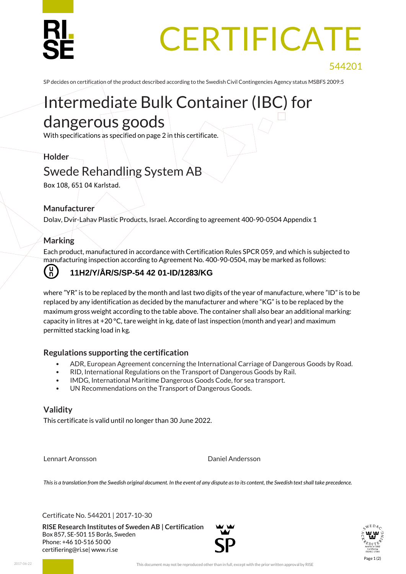## **CERTIFICATE**

SP decides on certification of the product described according to the Swedish Civil Contingencies Agency status MSBFS 2009:5

### Intermediate Bulk Container (IBC) for dangerous goods

With specifications as specified on page 2 in this certificate.

### **Holder**

### Swede Rehandling System AB

Box 108, 651 04 Karlstad.

### **Manufacturer**

Dolav, Dvir-Lahav Plastic Products, Israel. According to agreement 400-90-0504 Appendix 1

### **Marking**

Each product, manufactured in accordance with Certification Rules SPCR 059, and which is subjected to manufacturing inspection according to Agreement No. 400-90-0504, may be marked as follows:

### **11H2/Y/ÅR/S/SP-54 42 01-ID/1283/KG**

where "YR" is to be replaced by the month and last two digits of the year of manufacture, where "ID" is to be replaced by any identification as decided by the manufacturer and where "KG" is to be replaced by the maximum gross weight according to the table above. The container shall also bear an additional marking: capacity in litres at  $+20$  °C, tare weight in kg, date of last inspection (month and year) and maximum permitted stacking load in kg.

### **Regulations supporting the certification**

- ADR, European Agreement concerning the International Carriage of Dangerous Goods by Road.
- RID, International Regulations on the Transport of Dangerous Goods by Rail.
- IMDG, International Maritime Dangerous Goods Code, for sea transport.
- UN Recommendations on the Transport of Dangerous Goods.

### **Validity**

This certificate is valid until no longer than 30 June 2022.

Lennart Aronsson Daniel Andersson

*This is a translation from the Swedish original document. In the event of any dispute as to its content, the Swedish text shall take precedence.*

Certificate No. 544201 | 2017-10-30

**RISE Research Institutes of Sweden AB | Certification** Box 857, SE-501 15 Borås, Sweden Phone: +46 10-516 50 00 [certifiering@ri.se|](mailto:certifiering@ri.se) www.ri.se